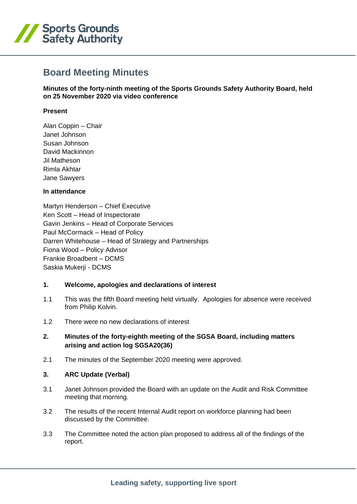

# **Board Meeting Minutes**

**Minutes of the forty-ninth meeting of the Sports Grounds Safety Authority Board, held on 25 November 2020 via video conference**

#### **Present**

Alan Coppin – Chair Janet Johnson Susan Johnson David Mackinnon Jil Matheson Rimla Akhtar Jane Sawyers

#### **In attendance**

Martyn Henderson – Chief Executive Ken Scott – Head of Inspectorate Gavin Jenkins – Head of Corporate Services Paul McCormack – Head of Policy Darren Whitehouse – Head of Strategy and Partnerships Fiona Wood – Policy Advisor Frankie Broadbent – DCMS Saskia Mukerji - DCMS

#### **1. Welcome, apologies and declarations of interest**

- 1.1 This was the fifth Board meeting held virtually. Apologies for absence were received from Philip Kolvin.
- 1.2 There were no new declarations of interest

### **2. Minutes of the forty-eighth meeting of the SGSA Board, including matters arising and action log SGSA20(36)**

2.1 The minutes of the September 2020 meeting were approved.

#### **3. ARC Update (Verbal)**

- 3.1 Janet Johnson provided the Board with an update on the Audit and Risk Committee meeting that morning.
- 3.2 The results of the recent Internal Audit report on workforce planning had been discussed by the Committee.
- 3.3 The Committee noted the action plan proposed to address all of the findings of the report.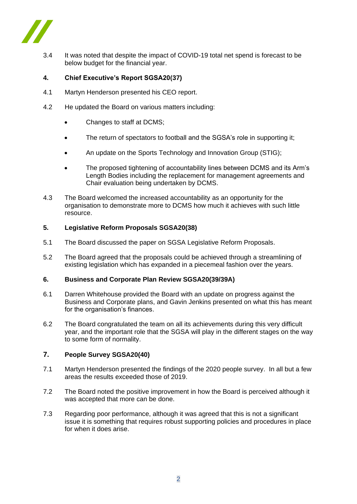

3.4 It was noted that despite the impact of COVID-19 total net spend is forecast to be below budget for the financial year.

## **4. Chief Executive's Report SGSA20(37)**

- 4.1 Martyn Henderson presented his CEO report.
- 4.2 He updated the Board on various matters including:
	- Changes to staff at DCMS;
	- The return of spectators to football and the SGSA's role in supporting it;
	- An update on the Sports Technology and Innovation Group (STIG);
	- The proposed tightening of accountability lines between DCMS and its Arm's Length Bodies including the replacement for management agreements and Chair evaluation being undertaken by DCMS.
- 4.3 The Board welcomed the increased accountability as an opportunity for the organisation to demonstrate more to DCMS how much it achieves with such little resource.

### **5. Legislative Reform Proposals SGSA20(38)**

- 5.1 The Board discussed the paper on SGSA Legislative Reform Proposals.
- 5.2 The Board agreed that the proposals could be achieved through a streamlining of existing legislation which has expanded in a piecemeal fashion over the years.

### **6. Business and Corporate Plan Review SGSA20(39/39A)**

- 6.1 Darren Whitehouse provided the Board with an update on progress against the Business and Corporate plans, and Gavin Jenkins presented on what this has meant for the organisation's finances.
- 6.2 The Board congratulated the team on all its achievements during this very difficult year, and the important role that the SGSA will play in the different stages on the way to some form of normality.

## **7. People Survey SGSA20(40)**

- 7.1 Martyn Henderson presented the findings of the 2020 people survey. In all but a few areas the results exceeded those of 2019.
- 7.2 The Board noted the positive improvement in how the Board is perceived although it was accepted that more can be done.
- 7.3 Regarding poor performance, although it was agreed that this is not a significant issue it is something that requires robust supporting policies and procedures in place for when it does arise.